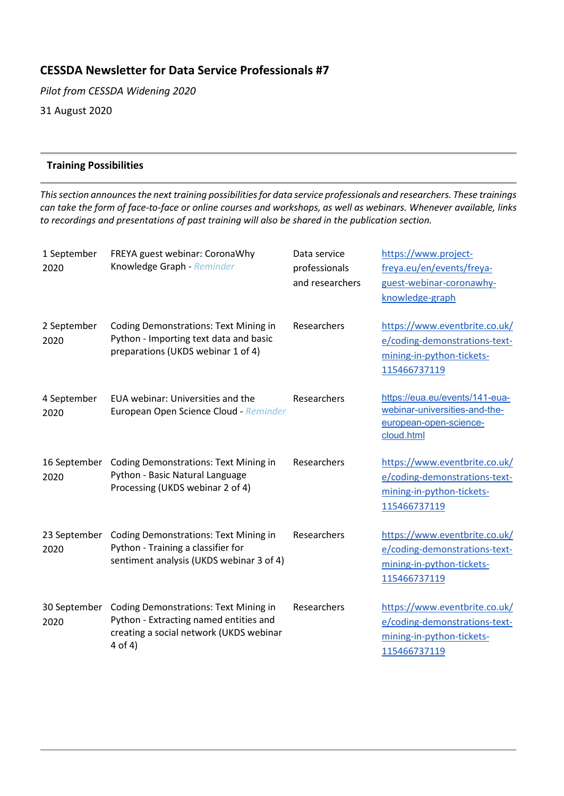# **CESSDA Newsletter for Data Service Professionals #7**

*Pilot from CESSDA Widening 2020* 31 August 2020

## **Training Possibilities**

*This section announces the next training possibilities for data service professionals and researchers. These trainings can take the form of face-to-face or online courses and workshops, as well as webinars. Whenever available, links to recordings and presentations of past training will also be shared in the publication section.*

| 1 September<br>2020  | FREYA guest webinar: CoronaWhy<br>Knowledge Graph - Reminder                                                                                 | Data service<br>professionals<br>and researchers | https://www.project-<br>freya.eu/en/events/freya-<br>guest-webinar-coronawhy-<br>knowledge-graph            |
|----------------------|----------------------------------------------------------------------------------------------------------------------------------------------|--------------------------------------------------|-------------------------------------------------------------------------------------------------------------|
| 2 September<br>2020  | <b>Coding Demonstrations: Text Mining in</b><br>Python - Importing text data and basic<br>preparations (UKDS webinar 1 of 4)                 | Researchers                                      | https://www.eventbrite.co.uk/<br>e/coding-demonstrations-text-<br>mining-in-python-tickets-<br>115466737119 |
| 4 September<br>2020  | EUA webinar: Universities and the<br>European Open Science Cloud - Reminder                                                                  | Researchers                                      | https://eua.eu/events/141-eua-<br>webinar-universities-and-the-<br>european-open-science-<br>cloud.html     |
| 16 September<br>2020 | <b>Coding Demonstrations: Text Mining in</b><br>Python - Basic Natural Language<br>Processing (UKDS webinar 2 of 4)                          | Researchers                                      | https://www.eventbrite.co.uk/<br>e/coding-demonstrations-text-<br>mining-in-python-tickets-<br>115466737119 |
| 23 September<br>2020 | <b>Coding Demonstrations: Text Mining in</b><br>Python - Training a classifier for<br>sentiment analysis (UKDS webinar 3 of 4)               | Researchers                                      | https://www.eventbrite.co.uk/<br>e/coding-demonstrations-text-<br>mining-in-python-tickets-<br>115466737119 |
| 30 September<br>2020 | <b>Coding Demonstrations: Text Mining in</b><br>Python - Extracting named entities and<br>creating a social network (UKDS webinar<br>4 of 4) | Researchers                                      | https://www.eventbrite.co.uk/<br>e/coding-demonstrations-text-<br>mining-in-python-tickets-<br>115466737119 |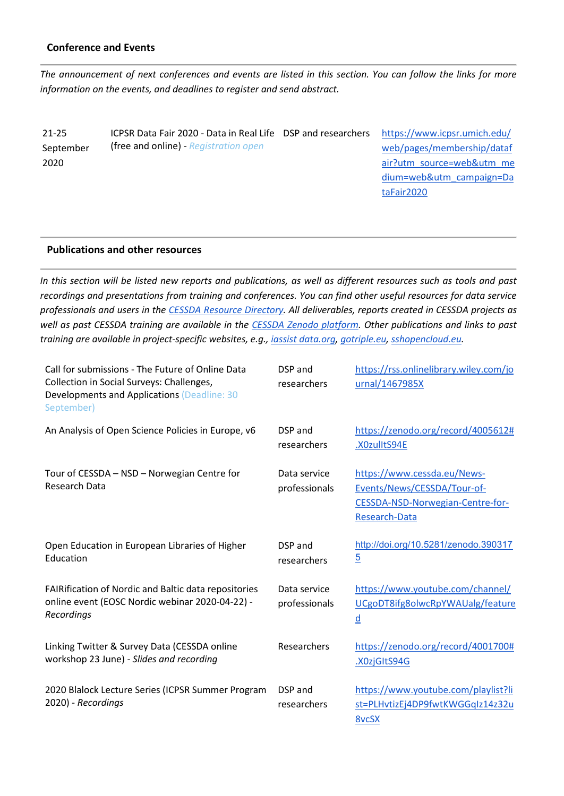#### **Conference and Events**

*The announcement of next conferences and events are listed in this section. You can follow the links for more information on the events, and deadlines to register and send abstract.*

21-25 September 2020

ICPSR Data Fair 2020 - Data in Real Life (free and online) - *Registration open*

[https://www.icpsr.umich.edu/](https://www.icpsr.umich.edu/web/pages/membership/datafair?utm_source=web&utm_medium=web&utm_campaign=DataFair2020) [web/pages/membership/dataf](https://www.icpsr.umich.edu/web/pages/membership/datafair?utm_source=web&utm_medium=web&utm_campaign=DataFair2020) [air?utm\\_source=web&utm\\_me](https://www.icpsr.umich.edu/web/pages/membership/datafair?utm_source=web&utm_medium=web&utm_campaign=DataFair2020) [dium=web&utm\\_campaign=Da](https://www.icpsr.umich.edu/web/pages/membership/datafair?utm_source=web&utm_medium=web&utm_campaign=DataFair2020) [taFair2020](https://www.icpsr.umich.edu/web/pages/membership/datafair?utm_source=web&utm_medium=web&utm_campaign=DataFair2020)

#### **Publications and other resources**

*In this section will be listed new reports and publications, as well as different resources such as tools and past recordings and presentations from training and conferences. You can find other useful resources for data service professionals and users in the [CESSDA Resource Directory.](https://www.zotero.org/groups/2382601/cessda_resource_directory/library) All deliverables, reports created in CESSDA projects as well as past CESSDA training are available in the [CESSDA Zenodo platform.](https://zenodo.org/communities/cessda/) Other publications and links to past training are available in project-specific websites, e.g., [iassist data.org,](https://iassistdata.org/) [gotriple.eu,](https://www.cessda.eu/content/download/5055/55985/file/TRIPLE_A5_LEAFLET.pdf) [sshopencloud.eu.](https://sshopencloud.eu/)*

| Call for submissions - The Future of Online Data<br>Collection in Social Surveys: Challenges,<br>Developments and Applications (Deadline: 30<br>September) | DSP and<br>researchers        | https://rss.onlinelibrary.wiley.com/jo<br>urnal/1467985X                                                        |
|------------------------------------------------------------------------------------------------------------------------------------------------------------|-------------------------------|-----------------------------------------------------------------------------------------------------------------|
| An Analysis of Open Science Policies in Europe, v6                                                                                                         | DSP and<br>researchers        | https://zenodo.org/record/4005612#<br>.X0zulltS94E                                                              |
| Tour of CESSDA - NSD - Norwegian Centre for<br>Research Data                                                                                               | Data service<br>professionals | https://www.cessda.eu/News-<br>Events/News/CESSDA/Tour-of-<br>CESSDA-NSD-Norwegian-Centre-for-<br>Research-Data |
| Open Education in European Libraries of Higher<br>Education                                                                                                | DSP and<br>researchers        | http://doi.org/10.5281/zenodo.390317<br>$\overline{5}$                                                          |
| <b>FAIRification of Nordic and Baltic data repositories</b><br>online event (EOSC Nordic webinar 2020-04-22) -<br>Recordings                               | Data service<br>professionals | https://www.youtube.com/channel/<br>UCgoDT8ifg8olwcRpYWAUalg/feature<br>$\underline{\mathsf{d}}$                |
| Linking Twitter & Survey Data (CESSDA online<br>workshop 23 June) - Slides and recording                                                                   | Researchers                   | https://zenodo.org/record/4001700#<br>.X0zjGItS94G                                                              |
| 2020 Blalock Lecture Series (ICPSR Summer Program<br>2020) - Recordings                                                                                    | DSP and<br>researchers        | https://www.youtube.com/playlist?li<br>st=PLHvtizEj4DP9fwtKWGGqIz14z32u<br><b>8vcSX</b>                         |